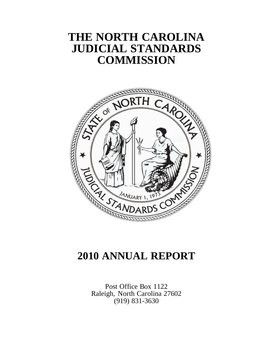# **THE NORTH CAROLINA JUDICIAL STANDARDS COMMISSION**



# **2010 ANNUAL REPORT**

Post Office Box 1122 Raleigh, North Carolina 27602 (919) 831-3630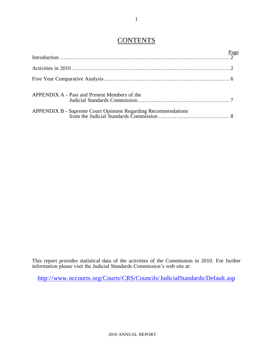## **CONTENTS**

| APPENDIX A - Past and Present Members of the |  |
|----------------------------------------------|--|
|                                              |  |

This report provides statistical data of the activities of the Commission in 2010. For further information please visit the Judicial Standards Commission's web site at:

<http://www.nccourts.org/Courts/CRS/Councils/JudicialStandards/Default.asp>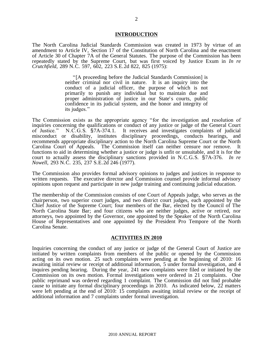#### **INTRODUCTION**

The North Carolina Judicial Standards Commission was created in 1973 by virtue of an amendment to Article IV, Section 17 of the Constitution of North Carolina and the enactment of Article 30 of Chapter 7A of the General Statutes. The purpose of the Commission has been repeatedly stated by the Supreme Court, but was first voiced by Justice Exum in *In re Crutchfield*, 289 N.C. 597, 602, 223 S.E.2d 822, 825 (1975):

> "[A proceeding before the Judicial Standards Commission] is neither criminal nor civil in nature. It is an inquiry into the conduct of a judicial officer, the purpose of which is not primarily to punish any individual but to maintain due and proper administration of justice in our State's courts, public confidence in its judicial system, and the honor and integrity of its judges."

The Commission exists as the appropriate agency "for the investigation and resolution of inquiries concerning the qualifications or conduct of any justice or judge of the General Court of Justice." N.C.G.S. §7A-374.1. It receives and investigates complaints of judicial misconduct or disability, institutes disciplinary proceedings, conducts hearings, and recommends appropriate disciplinary action to the North Carolina Supreme Court or the North Carolina Court of Appeals. The Commission itself can neither censure nor remove. It functions to aid in determining whether a justice or judge is unfit or unsuitable, and it is for the court to actually assess the disciplinary sanctions provided in N.C.G.S. §7A-376. *In re Nowell*, 293 N.C. 235, 237 S.E.2d 246 (1977).

The Commission also provides formal advisory opinions to judges and justices in response to written requests. The executive director and Commission counsel provide informal advisory opinions upon request and participate in new judge training and continuing judicial education.

The membership of the Commission consists of one Court of Appeals judge, who serves as the chairperson, two superior court judges, and two district court judges, each appointed by the Chief Justice of the Supreme Court; four members of the Bar, elected by the Council of The North Carolina State Bar; and four citizens who are neither judges, active or retired, nor attorneys, two appointed by the Governor, one appointed by the Speaker of the North Carolina House of Representatives and one appointed by the President Pro Tempore of the North Carolina Senate.

#### **ACTIVITIES IN 2010**

Inquiries concerning the conduct of any justice or judge of the General Court of Justice are initiated by written complaints from members of the public or opened by the Commission acting on its own motion. 25 such complaints were pending at the beginning of 2010: 16 awaiting initial review or receipt of additional information, 5 under formal investigation, and 4 inquires pending hearing. During the year, 241 new complaints were filed or initiated by the Commission on its own motion. Formal investigations were ordered in 21 complaints. One public reprimand was ordered regarding 1 complaint. The Commission did not find probable cause to initiate any formal disciplinary proceedings in 2010. As indicated below, 22 matters were left pending at the end of 2010: 15 complaints awaiting initial review or the receipt of additional information and 7 complaints under formal investigation.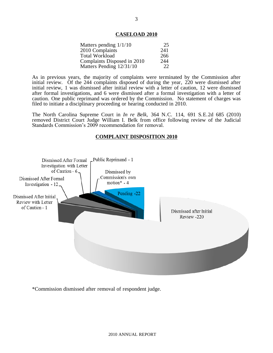#### **CASELOAD 2010**

| Matters pending $1/1/10$    | 25  |
|-----------------------------|-----|
| 2010 Complaints             | 241 |
| <b>Total Workload</b>       | 266 |
| Complaints Disposed in 2010 | 244 |
| Matters Pending 12/31/10    | 22  |

As in previous years, the majority of complaints were terminated by the Commission after initial review. Of the 244 complaints disposed of during the year, 220 were dismissed after initial review, 1 was dismissed after initial review with a letter of caution, 12 were dismissed after formal investigations, and 6 were dismissed after a formal investigation with a letter of caution. One public reprimand was ordered by the Commission. No statement of charges was filed to initiate a disciplinary proceeding or hearing conducted in 2010.

The North Carolina Supreme Court in *In re Belk,* 364 N.C. 114, 691 S.E.2d 685 (2010) removed District Court Judge William I. Belk from office following review of the Judicial Standards Commission's 2009 recommendation for removal.

#### **COMPLAINT DISPOSITION 2010**



\*Commission dismissed after removal of respondent judge.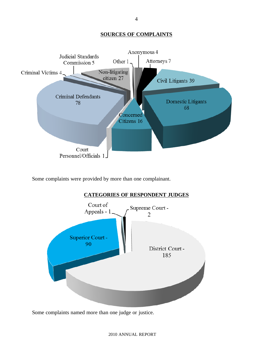### **SOURCES OF COMPLAINTS**



Some complaints were provided by more than one complainant.



Some complaints named more than one judge or justice.

4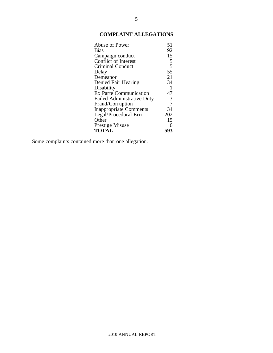## **COMPLAINT ALLEGATIONS**

| Abuse of Power                    | 51             |
|-----------------------------------|----------------|
| <b>Bias</b>                       | 92             |
| Campaign conduct                  | 15             |
| <b>Conflict of Interest</b>       | 5              |
| <b>Criminal Conduct</b>           | 5              |
| Delay                             | 55             |
| Demeanor                          | 21             |
| Denied Fair Hearing               | 34             |
| Disability                        | $\mathbf{1}$   |
| <b>Ex Parte Communication</b>     | 47             |
| <b>Failed Administrative Duty</b> | 3              |
| Fraud/Corruption                  | $\overline{7}$ |
| <b>Inappropriate Comments</b>     | 34             |
| Legal/Procedural Error            | 202            |
| Other                             | 15             |
| <b>Prestige Misuse</b>            |                |
| <b>TOTÁL</b>                      |                |

Some complaints contained more than one allegation.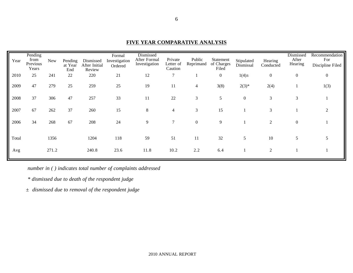| Year  | Pending<br>from<br>Previous<br>Years | <b>New</b> | Pending<br>at Year<br>End | Dismissed<br>After Initial<br>Review | Formal<br>Investigation<br>Ordered | Dismissed<br>After Formal<br>Investigation | Private<br>Letter of<br>Caution | Public<br>Reprimand | Statement<br>of Charges<br>Filed | Stipulated<br>Dismissal | Hearing<br>Conducted | <b>Dismissed</b><br>After<br>Hearing | Recommendation<br>For<br>Discipline Filed |
|-------|--------------------------------------|------------|---------------------------|--------------------------------------|------------------------------------|--------------------------------------------|---------------------------------|---------------------|----------------------------------|-------------------------|----------------------|--------------------------------------|-------------------------------------------|
| 2010  | 25                                   | 241        | 22                        | 220                                  | 21                                 | 12                                         | $\overline{7}$                  |                     | $\boldsymbol{0}$                 | $1(4) \pm$              | $\boldsymbol{0}$     | $\boldsymbol{0}$                     | $\mathbf{0}$                              |
| 2009  | 47                                   | 279        | 25                        | 259                                  | 25                                 | 19                                         | 11                              | $\overline{4}$      | 3(8)                             | $2(3)*$                 | 2(4)                 |                                      | 1(3)                                      |
| 2008  | 37                                   | 306        | 47                        | 257                                  | 33                                 | 11                                         | 22                              | 3                   | 5                                | $\boldsymbol{0}$        | 3                    | 3                                    |                                           |
| 2007  | 67                                   | 262        | 37                        | 260                                  | 15                                 | 8                                          | $\overline{4}$                  | 3                   | 15                               |                         | 3                    |                                      |                                           |
| 2006  | 34                                   | 268        | 67                        | 208                                  | 24                                 | 9                                          | 7                               | $\boldsymbol{0}$    | 9                                |                         | $\overline{c}$       | $\mathbf{0}$                         |                                           |
| Total |                                      | 1356       |                           | 1204                                 | 118                                | 59                                         | 51                              | 11                  | 32                               | 5                       | 10                   | 5                                    |                                           |
| Avg   |                                      | 271.2      |                           | 240.8                                | 23.6                               | 11.8                                       | 10.2                            | 2.2                 | 6.4                              |                         | $\overline{2}$       |                                      |                                           |

### **FIVE YEAR COMPARATIVE ANALYSIS**

*number in ( ) indicates total number of complaints addressed*

*\* dismissed due to death of the respondent judge*

*± dismissed due to removal of the respondent judge*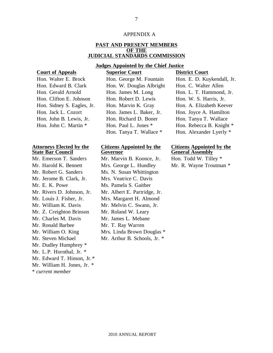#### APPENDIX A

#### **PAST AND PRESENT MEMBERS OF THE JUDICIAL STANDARDS COMMISSION**

#### **Judges Appointed by the Chief Justice**

**Court of Appeals Superior Court District Court**

| Hon. Walter E. Brock       |
|----------------------------|
| Hon. Edward B. Clark       |
| Hon. Gerald Arnold         |
| Hon. Clifton E. Johnson    |
| Hon. Sidney S. Eagles, Jr. |
| Hon. Jack L. Cozort        |
| Hon. John B. Lewis, Jr.    |
| Hon. John C. Martin *      |
|                            |

#### **Attorneys Elected by the State Bar Council**

\* *current member* Mr. Emerson T. Sanders Mr. Marvin B. Koonce, Jr. Hon. Todd W. Tilley \* Mr. Robert G. Sanders Ms. N. Susan Whittington Mr. Jerome B. Clark, Jr. Mrs. Veatrice C. Davis Mr. E. K. Powe Ms. Pamela S. Gaither Mr. William K. Davis Mr. Melvin C. Swann, Jr. Mr. Z. Creighton Brinson Mr. Roland W. Leary Mr. Charles M. Davis Mr. James L. Mebane Mr. Ronald Barbee Mr. T. Ray Warren Mr. William O. King Mr. Steven Michael Mr. Dudley Humphrey \* Mr. L.P. Hornthal, Jr. \* Mr. Edward T. Hinson, Jr.\* Mr. William H. Jones, Jr. \*

| Cours of Trippeans         | $\omega$                 | <b>DISTRE COULT</b>        |
|----------------------------|--------------------------|----------------------------|
| Hon. Walter E. Brock       | Hon. George M. Fountain  | Hon. E. D. Kuykendall, Jr. |
| Hon. Edward B. Clark       | Hon. W. Douglas Albright | Hon. C. Walter Allen       |
| Hon. Gerald Arnold         | Hon. James M. Long       | Hon. L. T. Hammond, Jr.    |
| Hon. Clifton E. Johnson    | Hon. Robert D. Lewis     | Hon. W. S. Harris, Jr.     |
| Hon. Sidney S. Eagles, Jr. | Hon. Marvin K. Gray      | Hon. A. Elizabeth Keever   |
| Hon. Jack L. Cozort        | Hon. James L. Baker, Jr. | Hon. Joyce A. Hamilton     |
| Hon. John B. Lewis, Jr.    | Hon. Richard D. Boner    | Hon. Tanya T. Wallace      |
| Hon. John C. Martin *      | Hon. Paul L. Jones *     | Hon. Rebecca B. Knight *   |
|                            | Hon. Tanya T. Wallace *  | Hon. Alexander Lyerly *    |

### **Citizens Appointed by the Governor**

Mr. Harold K. Bennett Mrs. George L. Hundley Mr. R. Wayne Troutman \* Mr. Rivers D. Johnson, Jr. Mr. Albert E. Partridge, Jr. Mr. Louis J. Fisher, Jr. Mrs. Margaret H. Almond Mrs. Linda Brown Douglas \* Mr. Arthur B. Schools, Jr. \*

# **Citizens Appointed by the General Assembly**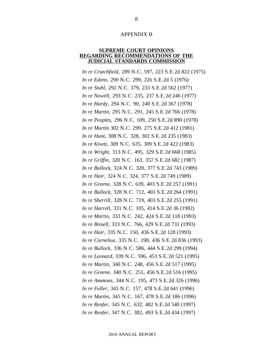#### APPENDIX B

#### **SUPREME COURT OPINIONS REGARDING RECOMMENDATIONS OF THE JUDICIAL STANDARDS COMMISSION**

*In re Crutchfield*, 289 N.C. 597, 223 S.E.2d 822 (1975) *In re Edens*, 290 N.C. 299, 226 S.E.2d 5 (1976) *In re Stuhl*, 292 N.C. 379, 233 S.E.2d 562 (1977) *In re Nowell*, 293 N.C. 235, 237 S.E.2d 246 (1977) *In re Hardy*, 294 N.C. 90, 240 S.E.2d 367 (1978) *In re Martin*, 295 N.C. 291, 245 S.E.2d 766 (1978) *In re Peoples*, 296 N.C. 109, 250 S.E.2d 890 (1978) *In re Martin* 302 N.C. 299, 275 S.E.2d 412 (1981) *In re Hunt*, 308 N.C. 328, 302 S.E.2d 235 (1983) *In re Kivett*, 309 N.C. 635, 309 S.E.2d 422 (1983) *In re Wright*, 313 N.C. 495, 329 S.E.2d 668 (1985) *In re Griffin*, 320 N.C. 163, 357 S.E.2d 682 (1987) *In re Bullock*, 324 N.C. 320, 377 S.E.2d 743 (1989) *In re Hair*, 324 N.C. 324, 377 S.E.2d 749 (1989) *In re Greene*, 328 N.C. 639, 403 S.E.2d 257 (1991) *In re Bullock*, 328 N.C. 712, 403 S.E.2d 264 (1991) *In re Sherrill*, 328 N.C. 719, 403 S.E.2d 255 (1991) *In re Harrell*, 331 N.C. 105, 414 S.E.2d 36 (1992) *In re Martin*, 333 N.C. 242, 424 S.E.2d 118 (1993) *In re Bissell*, 333 N.C. 766, 429 S.E.2d 731 (1993) *In re Hair*, 335 N.C. 150, 436 S.E.2d 128 (1993) *In re Cornelius*, 335 N.C. 198, 436 S.E.2d 836 (1993) *In re Bullock*, 336 N.C. 586, 444 S.E.2d 299 (1994) *In re Leonard*, 339 N.C. 596, 453 S.E.2d 521 (1995) *In re Martin*, 340 N.C. 248, 456 S.E.2d 517 (1995) *In re Greene*, 340 N.C. 251, 456 S.E.2d 516 (1995) *In re Ammons*, 344 N.C. 195, 473 S.E.2d 326 (1996) *In re Fuller*, 345 N.C. 157, 478 S.E.2d 641 (1996) *In re Martin*, 345 N.C. 167, 478 S.E.2d 186 (1996) *In re Renfer*, 345 N.C. 632, 482 S.E.2d 540 (1997) *In re Renfer*, 347 N.C. 382, 493 S.E.2d 434 (1997)